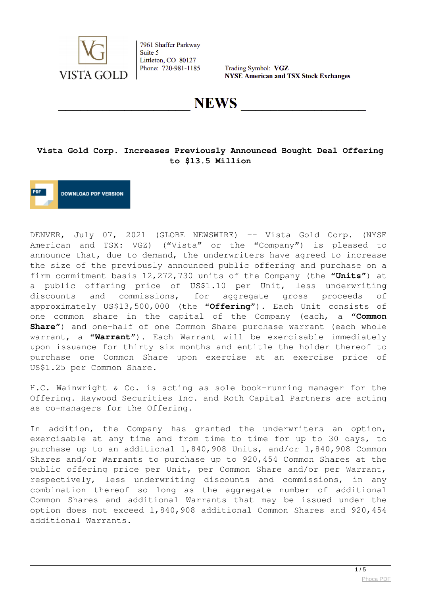

Trading Symbol: VGZ **NYSE American and TSX Stock Exchanges** 

**NEWS** 

#### **Vista Gold Corp. Increases Previously Announced Bought Deal Offering to \$13.5 Million**

**DOWNLOAD PDF VERSION** 

DENVER, July 07, 2021 (GLOBE NEWSWIRE) -- Vista Gold Corp. (NYSE American and TSX: VGZ) ("Vista" or the "Company") is pleased to announce that, due to demand, the underwriters have agreed to increase the size of the previously announced public offering and purchase on a firm commitment basis 12,272,730 units of the Company (the "**Units**") at a public offering price of US\$1.10 per Unit, less underwriting discounts and commissions, for aggregate gross proceeds of approximately US\$13,500,000 (the "**Offering**"). Each Unit consists of one common share in the capital of the Company (each, a "**Common Share**") and one-half of one Common Share purchase warrant (each whole warrant, a "**Warrant**"). Each Warrant will be exercisable immediately upon issuance for thirty six months and entitle the holder thereof to purchase one Common Share upon exercise at an exercise price of US\$1.25 per Common Share.

H.C. Wainwright & Co. is acting as sole book-running manager for the Offering. Haywood Securities Inc. and Roth Capital Partners are acting as co-managers for the Offering.

In addition, the Company has granted the underwriters an option, exercisable at any time and from time to time for up to 30 days, to purchase up to an additional 1,840,908 Units, and/or 1,840,908 Common Shares and/or Warrants to purchase up to 920,454 Common Shares at the public offering price per Unit, per Common Share and/or per Warrant, respectively, less underwriting discounts and commissions, in any combination thereof so long as the aggregate number of additional Common Shares and additional Warrants that may be issued under the option does not exceed 1,840,908 additional Common Shares and 920,454 additional Warrants.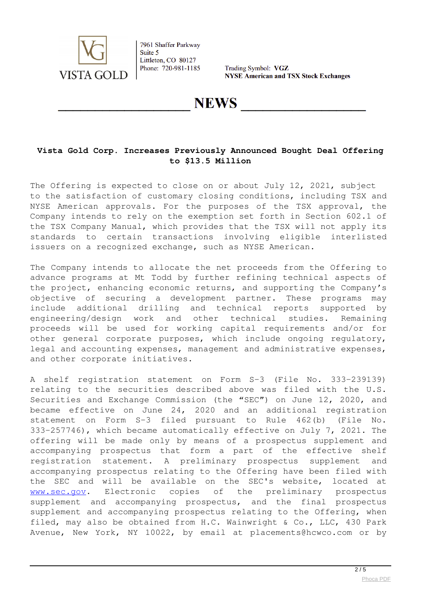

Trading Symbol: VGZ **NYSE American and TSX Stock Exchanges** 

**NEWS** 

## **Vista Gold Corp. Increases Previously Announced Bought Deal Offering to \$13.5 Million**

The Offering is expected to close on or about July 12, 2021, subject to the satisfaction of customary closing conditions, including TSX and NYSE American approvals. For the purposes of the TSX approval, the Company intends to rely on the exemption set forth in Section 602.1 of the TSX Company Manual, which provides that the TSX will not apply its standards to certain transactions involving eligible interlisted issuers on a recognized exchange, such as NYSE American.

The Company intends to allocate the net proceeds from the Offering to advance programs at Mt Todd by further refining technical aspects of the project, enhancing economic returns, and supporting the Company's objective of securing a development partner. These programs may include additional drilling and technical reports supported by engineering/design work and other technical studies. Remaining proceeds will be used for working capital requirements and/or for other general corporate purposes, which include ongoing regulatory, legal and accounting expenses, management and administrative expenses, and other corporate initiatives.

A shelf registration statement on Form S-3 (File No. 333-239139) relating to the securities described above was filed with the U.S. Securities and Exchange Commission (the "SEC") on June 12, 2020, and became effective on June 24, 2020 and an additional registration statement on Form S-3 filed pursuant to Rule 462(b) (File No. 333-257746), which became automatically effective on July 7, 2021. The offering will be made only by means of a prospectus supplement and accompanying prospectus that form a part of the effective shelf registration statement. A preliminary prospectus supplement and accompanying prospectus relating to the Offering have been filed with the SEC and will be available on the SEC's website, located at [www.sec.gov.](https://www.globenewswire.com/Tracker?data=ENqm-tamUEDsU951_v-ImPy1POQEMhXCSh-lyh1Pa__g4ZCM7qHdfldBamEbJP8au9rFRbrL15cMF0mxuE51Xw==) Electronic copies of the preliminary prospectus supplement and accompanying prospectus, and the final prospectus supplement and accompanying prospectus relating to the Offering, when filed, may also be obtained from H.C. Wainwright & Co., LLC, 430 Park Avenue, New York, NY 10022, by email at placements@hcwco.com or by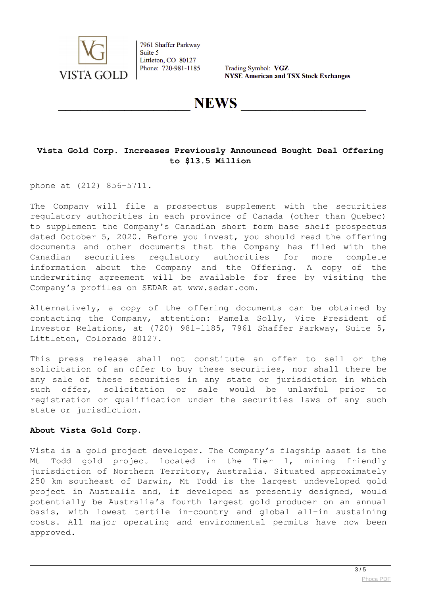

Trading Symbol: VGZ **NYSE American and TSX Stock Exchanges** 

**NEWS** 

## **Vista Gold Corp. Increases Previously Announced Bought Deal Offering to \$13.5 Million**

phone at (212) 856-5711.

The Company will file a prospectus supplement with the securities regulatory authorities in each province of Canada (other than Quebec) to supplement the Company's Canadian short form base shelf prospectus dated October 5, 2020. Before you invest, you should read the offering documents and other documents that the Company has filed with the Canadian securities regulatory authorities for more complete information about the Company and the Offering. A copy of the underwriting agreement will be available for free by visiting the Company's profiles on SEDAR at www.sedar.com.

Alternatively, a copy of the offering documents can be obtained by contacting the Company, attention: Pamela Solly, Vice President of Investor Relations, at (720) 981-1185, 7961 Shaffer Parkway, Suite 5, Littleton, Colorado 80127.

This press release shall not constitute an offer to sell or the solicitation of an offer to buy these securities, nor shall there be any sale of these securities in any state or jurisdiction in which such offer, solicitation or sale would be unlawful prior to registration or qualification under the securities laws of any such state or jurisdiction.

#### **About Vista Gold Corp.**

Vista is a gold project developer. The Company's flagship asset is the Mt Todd gold project located in the Tier 1, mining friendly jurisdiction of Northern Territory, Australia. Situated approximately 250 km southeast of Darwin, Mt Todd is the largest undeveloped gold project in Australia and, if developed as presently designed, would potentially be Australia's fourth largest gold producer on an annual basis, with lowest tertile in-country and global all-in sustaining costs. All major operating and environmental permits have now been approved.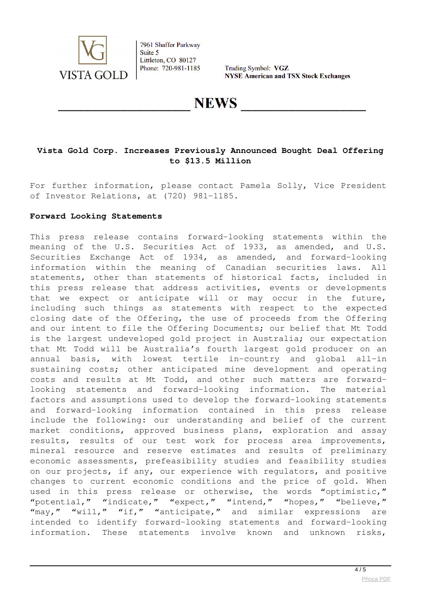

Trading Symbol: VGZ **NYSE American and TSX Stock Exchanges** 

**NEWS** 

## **Vista Gold Corp. Increases Previously Announced Bought Deal Offering to \$13.5 Million**

For further information, please contact Pamela Solly, Vice President of Investor Relations, at (720) 981-1185.

#### **Forward Looking Statements**

This press release contains forward-looking statements within the meaning of the U.S. Securities Act of 1933, as amended, and U.S. Securities Exchange Act of 1934, as amended, and forward-looking information within the meaning of Canadian securities laws. All statements, other than statements of historical facts, included in this press release that address activities, events or developments that we expect or anticipate will or may occur in the future, including such things as statements with respect to the expected closing date of the Offering, the use of proceeds from the Offering and our intent to file the Offering Documents; our belief that Mt Todd is the largest undeveloped gold project in Australia; our expectation that Mt Todd will be Australia's fourth largest gold producer on an annual basis, with lowest tertile in-country and global all-in sustaining costs; other anticipated mine development and operating costs and results at Mt Todd, and other such matters are forwardlooking statements and forward-looking information. The material factors and assumptions used to develop the forward-looking statements and forward-looking information contained in this press release include the following: our understanding and belief of the current market conditions, approved business plans, exploration and assay results, results of our test work for process area improvements, mineral resource and reserve estimates and results of preliminary economic assessments, prefeasibility studies and feasibility studies on our projects, if any, our experience with regulators, and positive changes to current economic conditions and the price of gold. When used in this press release or otherwise, the words "optimistic," "potential," "indicate," "expect," "intend," "hopes," "believe," "may," "will," "if," "anticipate," and similar expressions are intended to identify forward-looking statements and forward-looking information. These statements involve known and unknown risks,